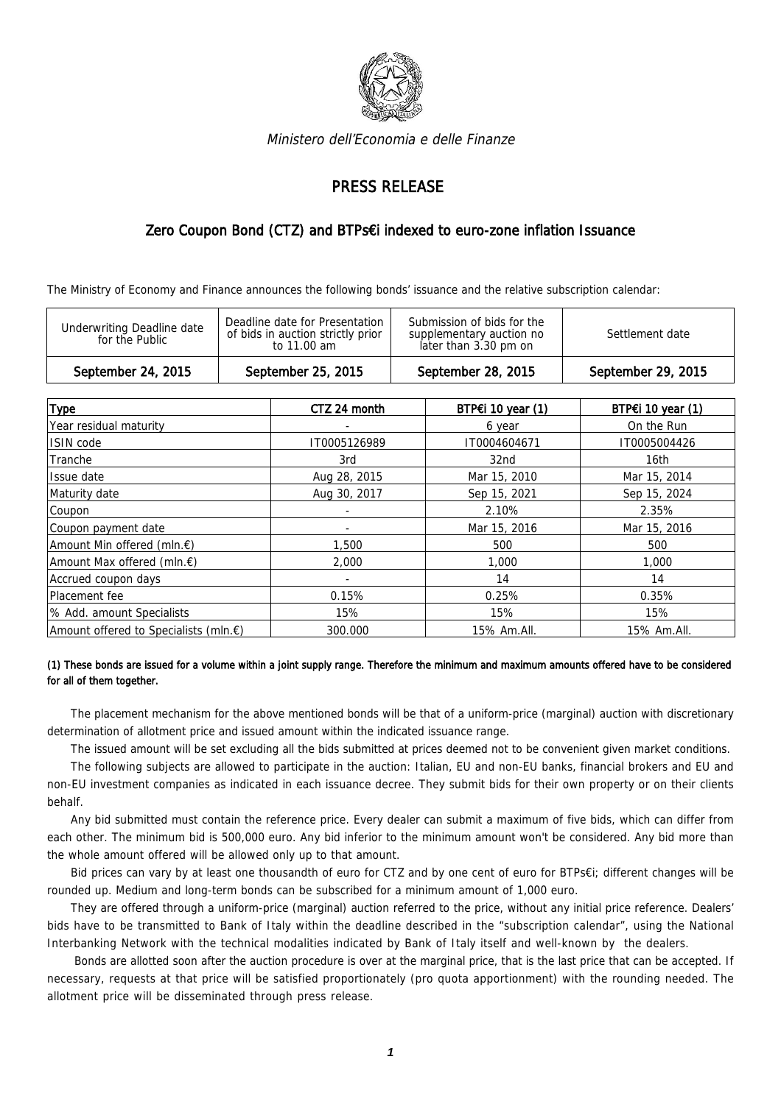

Ministero dell'Economia e delle Finanze

## PRESS RELEASE

## Zero Coupon Bond (CTZ) and BTPs€i indexed to euro-zone inflation Issuance

The Ministry of Economy and Finance announces the following bonds' issuance and the relative subscription calendar:

| Deadline date for Presentation<br>Submission of bids for the<br><b>Underwriting Deadline date</b><br>of bids in auction strictly prior<br>Settlement date<br>supplementary auction no<br>for the Public<br>later than 3.30 pm on<br>to 11.00 am | September 24, 2015 | September 25, 2015 | September 28, 2015 | September 29, 2015 |  |
|-------------------------------------------------------------------------------------------------------------------------------------------------------------------------------------------------------------------------------------------------|--------------------|--------------------|--------------------|--------------------|--|
|                                                                                                                                                                                                                                                 |                    |                    |                    |                    |  |

| <b>Type</b>                           | CTZ 24 month | BTP $\epsilon$ i 10 year (1) | BTP€i 10 year (1) |
|---------------------------------------|--------------|------------------------------|-------------------|
| Year residual maturity                |              | 6 year                       | On the Run        |
| ISIN code                             | IT0005126989 | IT0004604671                 | IT0005004426      |
| Tranche                               | 3rd          | 32 <sub>nd</sub>             | 16th              |
| Issue date                            | Aug 28, 2015 | Mar 15, 2010                 | Mar 15, 2014      |
| Maturity date                         | Aug 30, 2017 | Sep 15, 2021                 | Sep 15, 2024      |
| Coupon                                |              | 2.10%                        | 2.35%             |
| Coupon payment date                   |              | Mar 15, 2016                 | Mar 15, 2016      |
| Amount Min offered (mln.€)            | 1.500        | 500                          | 500               |
| Amount Max offered (mln.€)            | 2,000        | 1,000                        | 1,000             |
| Accrued coupon days                   |              | 14                           | 14                |
| Placement fee                         | 0.15%        | 0.25%                        | 0.35%             |
| % Add. amount Specialists             | 15%          | 15%                          | 15%               |
| Amount offered to Specialists (mln.€) | 300.000      | 15% Am.All.                  | 15% Am.All.       |

## (1) These bonds are issued for a volume within a joint supply range. Therefore the minimum and maximum amounts offered have to be considered for all of them together.

The placement mechanism for the above mentioned bonds will be that of a uniform-price (marginal) auction with discretionary determination of allotment price and issued amount within the indicated issuance range.

The issued amount will be set excluding all the bids submitted at prices deemed not to be convenient given market conditions.

The following subjects are allowed to participate in the auction: Italian, EU and non-EU banks, financial brokers and EU and non-EU investment companies as indicated in each issuance decree. They submit bids for their own property or on their clients behalf.

Any bid submitted must contain the reference price. Every dealer can submit a maximum of five bids, which can differ from each other. The minimum bid is 500,000 euro. Any bid inferior to the minimum amount won't be considered. Any bid more than the whole amount offered will be allowed only up to that amount.

Bid prices can vary by at least one thousandth of euro for CTZ and by one cent of euro for BTPs€i; different changes will be rounded up. Medium and long-term bonds can be subscribed for a minimum amount of 1,000 euro.

They are offered through a uniform-price (marginal) auction referred to the price, without any initial price reference. Dealers' bids have to be transmitted to Bank of Italy within the deadline described in the "subscription calendar", using the National Interbanking Network with the technical modalities indicated by Bank of Italy itself and well-known by the dealers.

 Bonds are allotted soon after the auction procedure is over at the marginal price, that is the last price that can be accepted. If necessary, requests at that price will be satisfied proportionately (pro quota apportionment) with the rounding needed. The allotment price will be disseminated through press release.